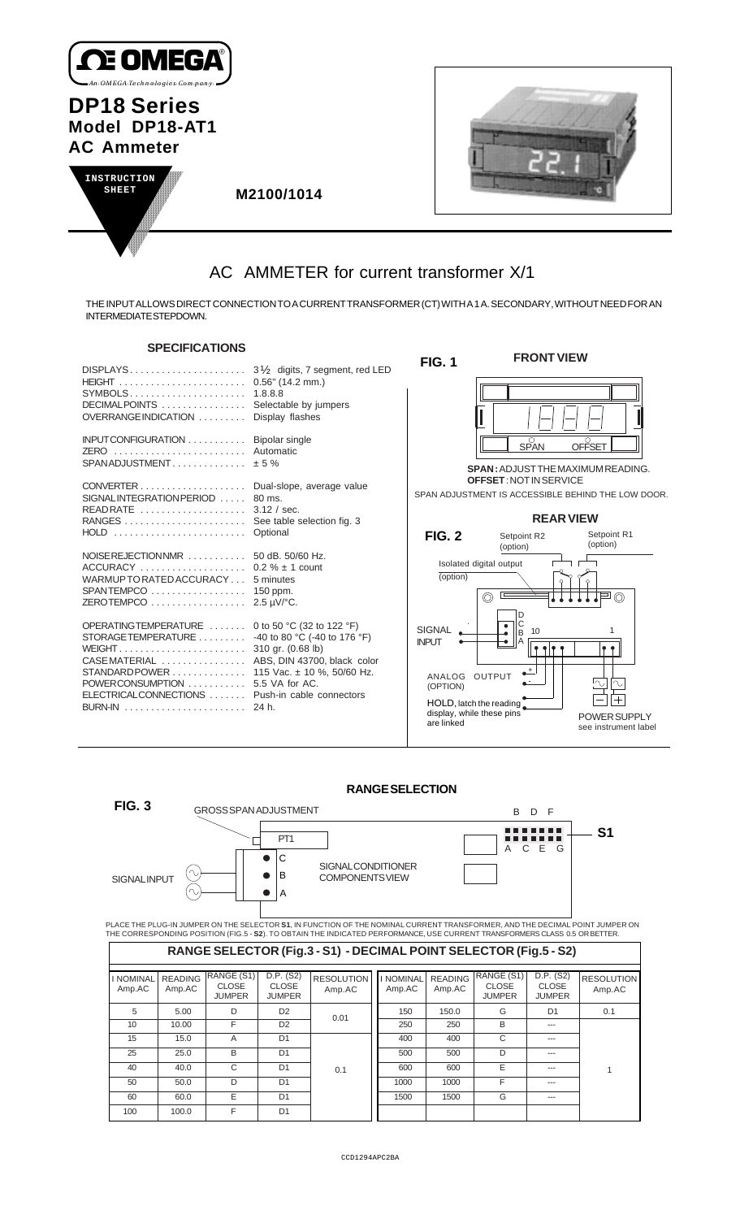

## **DP18 Series Model DP18-AT1 AC Ammeter**





1

 **M2100/1014**

# AC AMMETER for current transformer X/1

THE INPUT ALLOWS DIRECT CONNECTION TO A CURRENT TRANSFORMER (CT) WITH A 1 A. SECONDARY, WITHOUT NEED FOR AN INTERMEDIATE STEPDOWN.

### **SPECIFICATIONS**

| SPELIFILA HUNS                                                                                                                                                                                                                                                                                                       |                              |                                                                                                                                   | <b>FRONT VIEW</b>                                                                 |                                                                   |
|----------------------------------------------------------------------------------------------------------------------------------------------------------------------------------------------------------------------------------------------------------------------------------------------------------------------|------------------------------|-----------------------------------------------------------------------------------------------------------------------------------|-----------------------------------------------------------------------------------|-------------------------------------------------------------------|
| SYMBOLS 1.8.8.8<br>DECIMALPOINTS  Selectable by jumpers<br>OVERRANGE INDICATION                                                                                                                                                                                                                                      | Display flashes              | <b>FIG. 1</b>                                                                                                                     |                                                                                   |                                                                   |
| INPUTCONFIGURATION  Bipolar single<br>ZERO  Automatic<br>$SPAN ADJUSTMENT$ $\pm$ 5 %                                                                                                                                                                                                                                 |                              |                                                                                                                                   | SPAN<br><b>SPAN: ADJUST THE MAXIMUM READING.</b><br><b>OFFSET: NOT IN SERVICE</b> | <b>OFFSET</b>                                                     |
| CONVERTER Dual-slope, average value<br>SIGNALINTEGRATION PERIOD  80 ms.<br>READRATE  3.12 / sec.<br>HOLD  Optional                                                                                                                                                                                                   |                              |                                                                                                                                   | <b>REAR VIEW</b>                                                                  | SPAN ADJUSTMENT IS ACCESSIBLE BEHIND THE LOW DOOR.<br>Setpoint R1 |
| NOISEREJECTIONNMR  50 dB. 50/60 Hz.<br>WARMUP TO RATED ACCURACY 5 minutes<br>SPANTEMPCO  150 ppm.<br>ZEROTEMPCO $\ldots \ldots \ldots \ldots \ldots$ 2.5 µV/°C.                                                                                                                                                      |                              | <b>FIG. 2</b><br>(option)                                                                                                         | Setpoint R2<br>(option)<br>Isolated digital output<br>$\circledcirc$              | (option)                                                          |
| OPERATINGTEMPERATURE  0 to 50 °C (32 to 122 °F)<br>STORAGETEMPERATURE<br>CASE MATERIAL  ABS, DIN 43700, black color<br>STANDARD POWER 115 Vac. ± 10 %, 50/60 Hz.<br>POWERCONSUMPTION  5.5 VA for AC.<br>ELECTRICALCONNECTIONS  Push-in cable connectors<br>BURN-IN $\ldots \ldots \ldots \ldots \ldots \ldots$ 24 h. | -40 to 80 °C (-40 to 176 °F) | <b>SIGNAL</b><br><b>INPLIT</b><br>ANALOG OUTPUT<br>(OPTION)<br>HOLD, latch the reading<br>display, while these pins<br>are linked | D<br>$\bullet$<br>10<br>B<br>$\Delta^+$                                           | $\bullet$<br>∿<br>POWER SUPPLY<br>see instrument label            |

### **RANGE SELECTION**

| FIG. 3                     |                          | <b>GROSS SPAN ADJUSTMENT</b>                |                                            |                                                                                                                                                                                                                                                             |                            | B.                       | - F<br>D.                                   |                                            |                             |
|----------------------------|--------------------------|---------------------------------------------|--------------------------------------------|-------------------------------------------------------------------------------------------------------------------------------------------------------------------------------------------------------------------------------------------------------------|----------------------------|--------------------------|---------------------------------------------|--------------------------------------------|-----------------------------|
| <b>SIGNALINPUT</b>         | $' \sim$                 |                                             | PT <sub>1</sub><br>C<br>B<br>A             | SIGNAL CONDITIONER<br><b>COMPONENTSVIEW</b>                                                                                                                                                                                                                 |                            |                          | A                                           | C<br>Ε<br>G                                | S1                          |
|                            |                          |                                             |                                            | PLACE THE PLUG-IN JUMPER ON THE SELECTOR S1, IN FUNCTION OF THE NOMINAL CURRENT TRANSFORMER, AND THE DECIMAL POINT JUMPER ON<br>THE CORRESPONDING POSITION (FIG.5 - S2). TO OBTAIN THE INDICATED PERFORMANCE, USE CURRENT TRANSFORMERS CLASS 0.5 OR BETTER. |                            |                          |                                             |                                            |                             |
|                            |                          |                                             |                                            | RANGE SELECTOR (Fig.3 - S1) - DECIMAL POINT SELECTOR (Fig.5 - S2)                                                                                                                                                                                           |                            |                          |                                             |                                            |                             |
| <b>I NOMINAL</b><br>Amp.AC | <b>READING</b><br>Amp.AC | RANGE (S1)<br><b>CLOSE</b><br><b>JUMPER</b> | D.P. (S2)<br><b>CLOSE</b><br><b>JUMPER</b> | <b>RESOLUTION</b><br>Amp.AC                                                                                                                                                                                                                                 | <b>I NOMINAL</b><br>Amp.AC | <b>READING</b><br>Amp.AC | RANGE (S1)<br><b>CLOSE</b><br><b>JUMPER</b> | D.P. (S2)<br><b>CLOSE</b><br><b>JUMPER</b> | <b>RESOLUTION</b><br>Amp.AC |
| 5                          | 5.00                     | D                                           | D <sub>2</sub>                             | 0.01                                                                                                                                                                                                                                                        | 150                        | 150.0                    | G                                           | D <sub>1</sub>                             | 0.1                         |
| 10                         | 10.00                    | F                                           | D <sub>2</sub>                             |                                                                                                                                                                                                                                                             | 250                        | 250                      | B                                           |                                            |                             |
| 15                         | 15.0                     | A                                           | D <sub>1</sub>                             |                                                                                                                                                                                                                                                             | 400                        | 400                      | C                                           | $- - -$                                    |                             |
| 25                         | 25.0                     | B                                           | D <sub>1</sub>                             |                                                                                                                                                                                                                                                             | 500                        | 500                      | D                                           | ---                                        |                             |

600 E --1000 F ---

1500 G

0.1

40 40.0 C D1 50 50.0 D D1 60 60.0 E D1 100 100.0 F D1